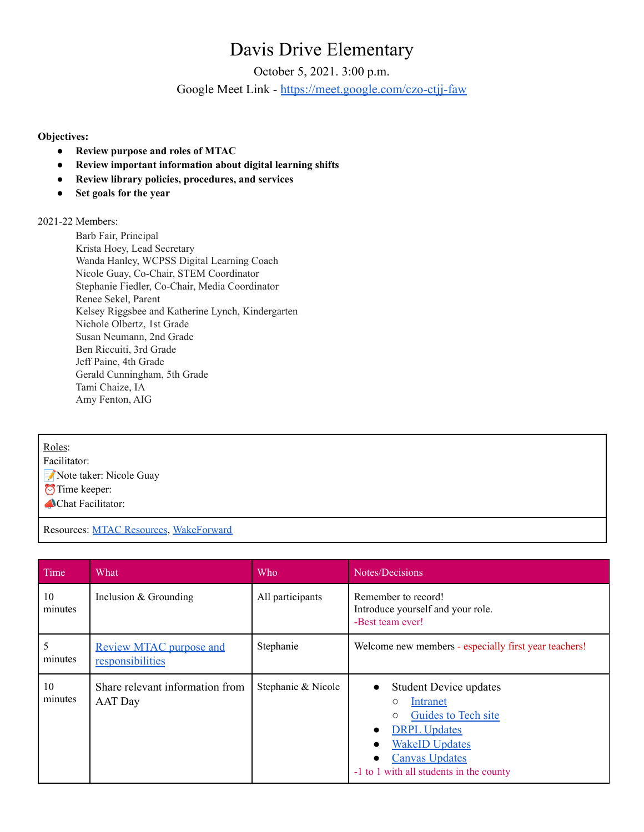## Davis Drive Elementary

October 5, 2021. 3:00 p.m. Google Meet Link - <https://meet.google.com/czo-ctjj-faw>

## **Objectives:**

- **● Review purpose and roles of MTAC**
- **● Review important information about digital learning shifts**
- **● Review library policies, procedures, and services**
- **● Set goals for the year**

## 2021-22 Members:

Barb Fair, Principal Krista Hoey, Lead Secretary Wanda Hanley, WCPSS Digital Learning Coach Nicole Guay, Co-Chair, STEM Coordinator Stephanie Fiedler, Co-Chair, Media Coordinator Renee Sekel, Parent Kelsey Riggsbee and Katherine Lynch, Kindergarten Nichole Olbertz, 1st Grade Susan Neumann, 2nd Grade Ben Riccuiti, 3rd Grade Jeff Paine, 4th Grade Gerald Cunningham, 5th Grade Tami Chaize, IA Amy Fenton, AIG

Roles:

Facilitator: Note taker: Nicole Guay  $\bigcirc$ Time keeper: **Chat Facilitator:** 

Resources: MTAC [Resources](https://sites.google.com/wcpss.net/library-media-services/wakeforward/mtac-resources), [WakeForward](https://sites.google.com/wcpss.net/library-media-services/wakeforward)

| Time          | What                                               | <b>Who</b>         | Notes/Decisions                                                                                                                                                                                                                      |
|---------------|----------------------------------------------------|--------------------|--------------------------------------------------------------------------------------------------------------------------------------------------------------------------------------------------------------------------------------|
| 10<br>minutes | Inclusion $&$ Grounding                            | All participants   | Remember to record!<br>Introduce yourself and your role.<br>-Best team ever!                                                                                                                                                         |
| 5<br>minutes  | <b>Review MTAC purpose and</b><br>responsibilities | Stephanie          | Welcome new members - especially first year teachers!                                                                                                                                                                                |
| 10<br>minutes | Share relevant information from<br><b>AAT</b> Day  | Stephanie & Nicole | <b>Student Device updates</b><br>$\bullet$<br>Intranet<br>$\circ$<br>Guides to Tech site<br>$\circ$<br><b>DRPL</b> Updates<br>$\bullet$<br><b>WakeID Updates</b><br><b>Canvas Updates</b><br>-1 to 1 with all students in the county |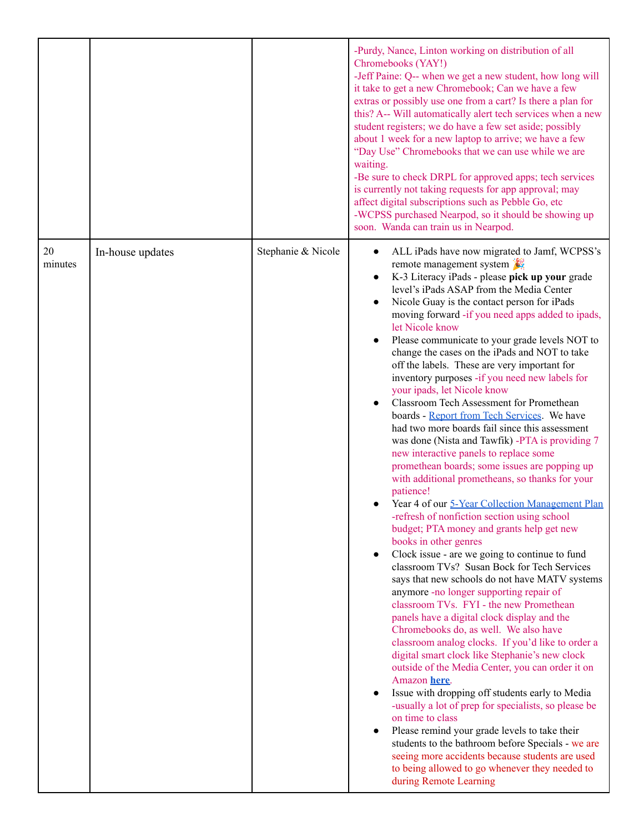|               |                  |                    | -Purdy, Nance, Linton working on distribution of all<br>Chromebooks (YAY!)<br>-Jeff Paine: Q-- when we get a new student, how long will<br>it take to get a new Chromebook; Can we have a few<br>extras or possibly use one from a cart? Is there a plan for<br>this? A-- Will automatically alert tech services when a new<br>student registers; we do have a few set aside; possibly<br>about 1 week for a new laptop to arrive; we have a few<br>"Day Use" Chromebooks that we can use while we are<br>waiting.<br>-Be sure to check DRPL for approved apps; tech services<br>is currently not taking requests for app approval; may<br>affect digital subscriptions such as Pebble Go, etc<br>-WCPSS purchased Nearpod, so it should be showing up<br>soon. Wanda can train us in Nearpod.                                                                                                                                                                                                                                                                                                                                                                                                                                                                                                                                                                                                                                                                                                                                                                                                                                                                                                                                                                                                                                                                                                                                                                                             |
|---------------|------------------|--------------------|--------------------------------------------------------------------------------------------------------------------------------------------------------------------------------------------------------------------------------------------------------------------------------------------------------------------------------------------------------------------------------------------------------------------------------------------------------------------------------------------------------------------------------------------------------------------------------------------------------------------------------------------------------------------------------------------------------------------------------------------------------------------------------------------------------------------------------------------------------------------------------------------------------------------------------------------------------------------------------------------------------------------------------------------------------------------------------------------------------------------------------------------------------------------------------------------------------------------------------------------------------------------------------------------------------------------------------------------------------------------------------------------------------------------------------------------------------------------------------------------------------------------------------------------------------------------------------------------------------------------------------------------------------------------------------------------------------------------------------------------------------------------------------------------------------------------------------------------------------------------------------------------------------------------------------------------------------------------------------------------|
| 20<br>minutes | In-house updates | Stephanie & Nicole | ALL iPads have now migrated to Jamf, WCPSS's<br>$\bullet$<br>remote management system<br>K-3 Literacy iPads - please pick up your grade<br>level's iPads ASAP from the Media Center<br>Nicole Guay is the contact person for iPads<br>moving forward -if you need apps added to ipads,<br>let Nicole know<br>Please communicate to your grade levels NOT to<br>change the cases on the iPads and NOT to take<br>off the labels. These are very important for<br>inventory purposes -if you need new labels for<br>your ipads, let Nicole know<br>Classroom Tech Assessment for Promethean<br>$\bullet$<br>boards - Report from Tech Services. We have<br>had two more boards fail since this assessment<br>was done (Nista and Tawfik) -PTA is providing 7<br>new interactive panels to replace some<br>promethean boards; some issues are popping up<br>with additional prometheans, so thanks for your<br>patience!<br>Year 4 of our 5-Year Collection Management Plan<br>-refresh of nonfiction section using school<br>budget; PTA money and grants help get new<br>books in other genres<br>Clock issue - are we going to continue to fund<br>$\bullet$<br>classroom TVs? Susan Bock for Tech Services<br>says that new schools do not have MATV systems<br>anymore -no longer supporting repair of<br>classroom TVs. FYI - the new Promethean<br>panels have a digital clock display and the<br>Chromebooks do, as well. We also have<br>classroom analog clocks. If you'd like to order a<br>digital smart clock like Stephanie's new clock<br>outside of the Media Center, you can order it on<br>Amazon here.<br>Issue with dropping off students early to Media<br>-usually a lot of prep for specialists, so please be<br>on time to class<br>Please remind your grade levels to take their<br>students to the bathroom before Specials - we are<br>seeing more accidents because students are used<br>to being allowed to go whenever they needed to<br>during Remote Learning |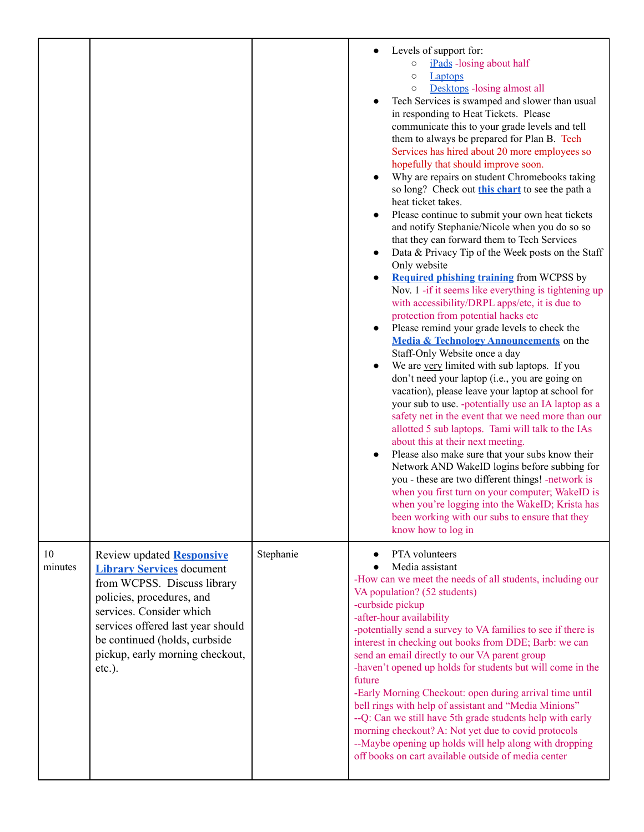|               |                                                                                                                                                                                                                                                                                    |           | Levels of support for:<br>iPads -losing about half<br>$\circ$<br><b>Laptops</b><br>$\circ$<br>Desktops - losing almost all<br>$\circ$<br>Tech Services is swamped and slower than usual<br>in responding to Heat Tickets. Please<br>communicate this to your grade levels and tell<br>them to always be prepared for Plan B. Tech<br>Services has hired about 20 more employees so<br>hopefully that should improve soon.<br>Why are repairs on student Chromebooks taking<br>so long? Check out this chart to see the path a<br>heat ticket takes.<br>Please continue to submit your own heat tickets<br>$\bullet$<br>and notify Stephanie/Nicole when you do so so<br>that they can forward them to Tech Services<br>Data & Privacy Tip of the Week posts on the Staff<br>$\bullet$<br>Only website<br><b>Required phishing training from WCPSS by</b><br>$\bullet$<br>Nov. 1 -if it seems like everything is tightening up<br>with accessibility/DRPL apps/etc, it is due to<br>protection from potential hacks etc<br>Please remind your grade levels to check the<br>$\bullet$<br>Media & Technology Announcements on the<br>Staff-Only Website once a day<br>We are very limited with sub laptops. If you<br>don't need your laptop (i.e., you are going on<br>vacation), please leave your laptop at school for<br>your sub to use. -potentially use an IA laptop as a<br>safety net in the event that we need more than our<br>allotted 5 sub laptops. Tami will talk to the IAs<br>about this at their next meeting.<br>Please also make sure that your subs know their<br>$\bullet$<br>Network AND WakeID logins before subbing for<br>you - these are two different things! -network is<br>when you first turn on your computer; WakeID is<br>when you're logging into the WakeID; Krista has<br>been working with our subs to ensure that they<br>know how to log in |
|---------------|------------------------------------------------------------------------------------------------------------------------------------------------------------------------------------------------------------------------------------------------------------------------------------|-----------|----------------------------------------------------------------------------------------------------------------------------------------------------------------------------------------------------------------------------------------------------------------------------------------------------------------------------------------------------------------------------------------------------------------------------------------------------------------------------------------------------------------------------------------------------------------------------------------------------------------------------------------------------------------------------------------------------------------------------------------------------------------------------------------------------------------------------------------------------------------------------------------------------------------------------------------------------------------------------------------------------------------------------------------------------------------------------------------------------------------------------------------------------------------------------------------------------------------------------------------------------------------------------------------------------------------------------------------------------------------------------------------------------------------------------------------------------------------------------------------------------------------------------------------------------------------------------------------------------------------------------------------------------------------------------------------------------------------------------------------------------------------------------------------------------------------------------------------------------------------------------------|
| 10<br>minutes | <b>Review updated Responsive</b><br><b>Library Services</b> document<br>from WCPSS. Discuss library<br>policies, procedures, and<br>services. Consider which<br>services offered last year should<br>be continued (holds, curbside<br>pickup, early morning checkout,<br>$etc.$ ). | Stephanie | PTA volunteers<br>Media assistant<br>-How can we meet the needs of all students, including our<br>VA population? (52 students)<br>-curbside pickup<br>-after-hour availability<br>-potentially send a survey to VA families to see if there is<br>interest in checking out books from DDE; Barb: we can<br>send an email directly to our VA parent group<br>-haven't opened up holds for students but will come in the<br>future<br>-Early Morning Checkout: open during arrival time until<br>bell rings with help of assistant and "Media Minions"<br>--Q: Can we still have 5th grade students help with early<br>morning checkout? A: Not yet due to covid protocols<br>--Maybe opening up holds will help along with dropping<br>off books on cart available outside of media center                                                                                                                                                                                                                                                                                                                                                                                                                                                                                                                                                                                                                                                                                                                                                                                                                                                                                                                                                                                                                                                                                        |